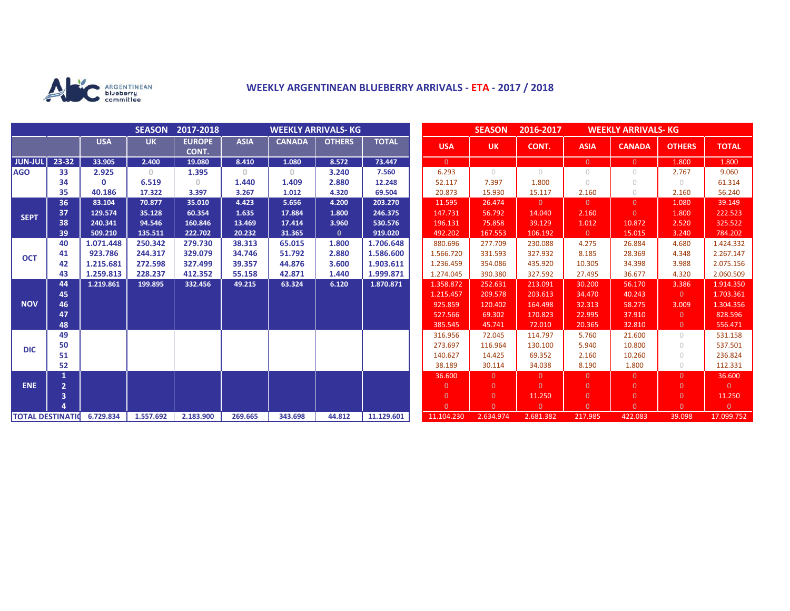

# **WEEKLY ARGENTINEAN BLUEBERRY ARRIVALS - ETA - 2017 / 2018**

|                          |                |            | <b>SEASON</b> | 2017-2018              | <b>WEEKLY ARRIVALS- KG</b> |               |               |              |  |                | <b>SEASON</b><br>2016-2017<br><b>WEEKLY ARRIVALS- KG</b> |                |                |                |                |                |
|--------------------------|----------------|------------|---------------|------------------------|----------------------------|---------------|---------------|--------------|--|----------------|----------------------------------------------------------|----------------|----------------|----------------|----------------|----------------|
|                          |                | <b>USA</b> | <b>UK</b>     | <b>EUROPE</b><br>CONT. | <b>ASIA</b>                | <b>CANADA</b> | <b>OTHERS</b> | <b>TOTAL</b> |  | <b>USA</b>     | <b>UK</b>                                                | CONT.          | <b>ASIA</b>    | <b>CANADA</b>  | <b>OTHERS</b>  | <b>TOTAL</b>   |
| <b>JUN-JUL</b>           | 23-32          | 33.905     | 2.400         | 19.080                 | 8.410                      | 1.080         | 8.572         | 73.447       |  | $\overline{0}$ |                                                          |                | $\overline{0}$ | $\overline{0}$ | 1.800          | 1.800          |
| <b>AGO</b>               | 33             | 2.925      | $\circ$       | 1.395                  | $\mathbf{0}$               | $\circ$       | 3.240         | 7.560        |  | 6.293          | $\bigcirc$                                               | $\bigcirc$     | $\circ$        | $\bigcirc$     | 2.767          | 9.060          |
|                          | 34             | $\Omega$   | 6.519         | 0.                     | 1.440                      | 1.409         | 2.880         | 12.248       |  | 52.117         | 7.397                                                    | 1.800          | $\bigcirc$     | $\bigcirc$     | $\bigcirc$     | 61.314         |
|                          | 35             | 40.186     | 17.322        | 3.397                  | 3.267                      | 1.012         | 4.320         | 69.504       |  | 20.873         | 15.930                                                   | 15.117         | 2.160          | $\circ$        | 2.160          | 56.240         |
| <b>SEPT</b>              | 36             | 83.104     | 70.877        | 35.010                 | 4.423                      | 5.656         | 4.200         | 203.270      |  | 11.595         | 26.474                                                   | $\Omega$       | $\overline{0}$ | $\Omega$       | 1.080          | 39.149         |
|                          | 37             | 129.574    | 35.128        | 60.354                 | 1.635                      | 17.884        | 1.800         | 246.375      |  | 147.731        | 56.792                                                   | 14.040         | 2.160          | $\Omega$       | 1.800          | 222.523        |
|                          | 38             | 240.341    | 94.546        | 160.846                | 13.469                     | 17.414        | 3.960         | 530.576      |  | 196.131        | 75.858                                                   | 39.129         | 1.012          | 10.872         | 2.520          | 325.522        |
|                          | 39             | 509.210    | 135.511       | 222.702                | 20.232                     | 31.365        | $\mathbf{0}$  | 919.020      |  | 492.202        | 167.553                                                  | 106.192        | $\overline{0}$ | 15.015         | 3.240          | 784.202        |
| <b>OCT</b>               | 40             | 1.071.448  | 250.342       | 279.730                | 38.313                     | 65.015        | 1.800         | 1.706.648    |  | 880.696        | 277.709                                                  | 230.088        | 4.275          | 26.884         | 4.680          | 1.424.332      |
|                          | 41             | 923.786    | 244.317       | 329.079                | 34.746                     | 51.792        | 2.880         | 1.586.600    |  | 1.566.720      | 331.593                                                  | 327.932        | 8.185          | 28.369         | 4.348          | 2.267.147      |
|                          | 42             | 1.215.681  | 272.598       | 327.499                | 39.357                     | 44.876        | 3.600         | 1.903.611    |  | 1.236.459      | 354.086                                                  | 435.920        | 10.305         | 34.398         | 3.988          | 2.075.156      |
|                          | 43             | 1.259.813  | 228.237       | 412.352                | 55.158                     | 42.871        | 1.440         | 1.999.871    |  | 1.274.045      | 390.380                                                  | 327.592        | 27.495         | 36.677         | 4.320          | 2.060.509      |
| <b>NOV</b>               | 44             | 1.219.861  | 199.895       | 332.456                | 49.215                     | 63.324        | 6.120         | 1.870.871    |  | 1.358.872      | 252.631                                                  | 213.091        | 30.200         | 56.170         | 3.386          | 1.914.350      |
|                          | 45             |            |               |                        |                            |               |               |              |  | 1.215.457      | 209.578                                                  | 203.613        | 34.470         | 40.243         | $\Omega$       | 1.703.361      |
|                          | 46             |            |               |                        |                            |               |               |              |  | 925.859        | 120.402                                                  | 164.498        | 32.313         | 58.275         | 3.009          | 1.304.356      |
|                          | 47             |            |               |                        |                            |               |               |              |  | 527.566        | 69.302                                                   | 170.823        | 22.995         | 37.910         | $\Omega$       | 828.596        |
|                          | 48             |            |               |                        |                            |               |               |              |  | 385.545        | 45.741                                                   | 72.010         | 20.365         | 32.810         | $\overline{0}$ | 556.471        |
| <b>DIC</b>               | 49             |            |               |                        |                            |               |               |              |  | 316.956        | 72.045                                                   | 114.797        | 5.760          | 21.600         | $\bigcirc$     | 531.158        |
|                          | 50             |            |               |                        |                            |               |               |              |  | 273.697        | 116.964                                                  | 130.100        | 5.940          | 10.800         | $\bigcirc$     | 537.501        |
|                          | 51             |            |               |                        |                            |               |               |              |  | 140.627        | 14.425                                                   | 69.352         | 2.160          | 10.260         | $\bigcirc$     | 236.824        |
|                          | 52             |            |               |                        |                            |               |               |              |  | 38.189         | 30.114                                                   | 34.038         | 8.190          | 1.800          | $\bigcirc$     | 112.331        |
| <b>ENE</b>               |                |            |               |                        |                            |               |               |              |  | 36,600         | $\Omega$                                                 | $\overline{0}$ | $\overline{0}$ | $\Omega$       | $\Omega$       | 36.600         |
|                          | $\overline{2}$ |            |               |                        |                            |               |               |              |  | $\mathbf{0}$   | $\Omega$                                                 | $\Omega$       | $\overline{0}$ | $\Omega$       | $\Omega$       | $\overline{0}$ |
|                          | 3              |            |               |                        |                            |               |               |              |  | $\overline{0}$ | $\overline{0}$                                           | 11.250         | $\overline{0}$ | $\overline{0}$ | $\overline{0}$ | 11.250         |
|                          |                |            |               |                        |                            |               |               |              |  | $\Omega$       | $\Omega$                                                 | $\Omega$       | $\Omega$       | $\Omega$       | $\Omega$       | $\overline{0}$ |
| <b>TOTAL DESTINATION</b> |                | 6.729.834  | 1.557.692     | 2.183.900              | 269.665                    | 343.698       | 44.812        | 11.129.601   |  | 11.104.230     | 2.634.974                                                | 2.681.382      | 217.985        | 422.083        | 39.098         | 17.099.752     |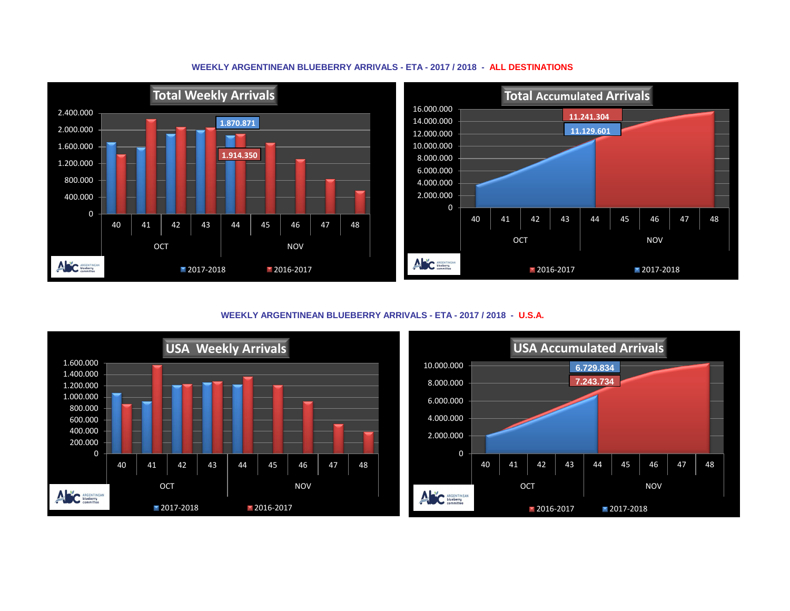

## **WEEKLY ARGENTINEAN BLUEBERRY ARRIVALS - ETA - 2017 / 2018 - ALL DESTINATIONS**

**WEEKLY ARGENTINEAN BLUEBERRY ARRIVALS - ETA - 2017 / 2018 - U.S.A.**



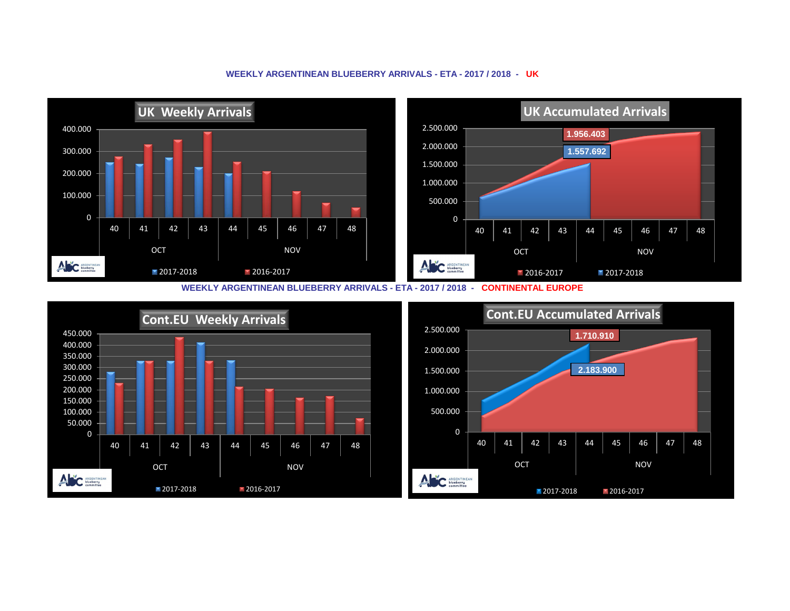#### **UK Weekly Arrivals UK Accumulated Arrivals** 2.500.000 400.000 **1.956.403** 2.000.000 300.000 **1.557.692** 1.500.000 200.000 1.000.000 100.000 500.000 0 0 40 | 41 | 42 | 43 | 44 | 45 | 46 | 47 | 48 40 | 41 | 42 | 43 | 44 | 45 | 46 | 47 | 48 OCT NOV OCT NOV ANC ARGENTINEAN ANC ARGENTINEAN 2017-2018 2016-2017 **2016-2017** 2017-2018

### **WEEKLY ARGENTINEAN BLUEBERRY ARRIVALS - ETA - 2017 / 2018 - UK**

**WEEKLY ARGENTINEAN BLUEBERRY ARRIVALS - ETA - 2017 / 2018 - CONTINENTAL EUROPE**